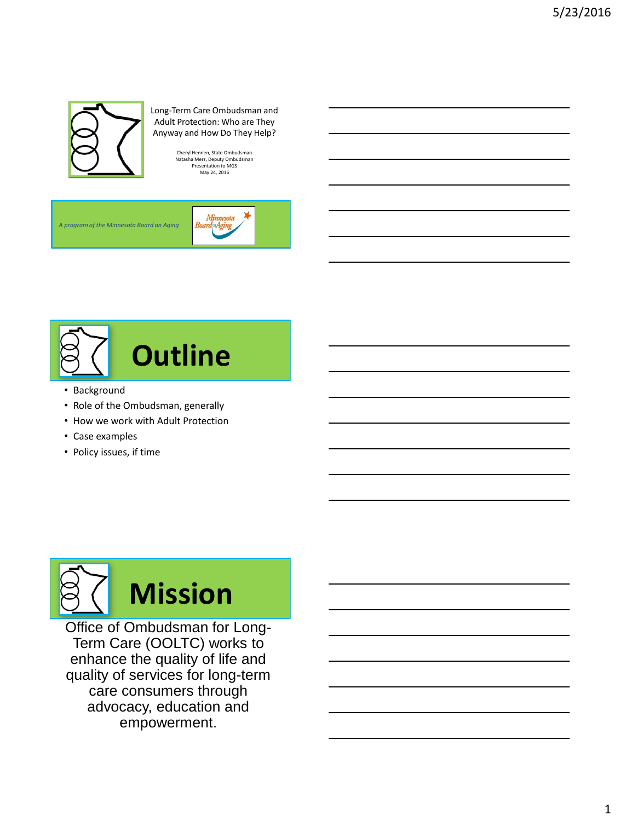

### Long-Term Care Ombudsman and Adult Protection: Who are They Anyway and How Do They Help?

Cheryl Hennen, State Ombudsman Natasha Merz, Deputy Ombudsman Presentation to MGS May 24, 2016

*A program of the Minnesota Board on Aging* 





- Background
- Role of the Ombudsman, generally
- How we work with Adult Protection
- Case examples
- Policy issues, if time



Office of Ombudsman for Long-Term Care (OOLTC) works to enhance the quality of life and quality of services for long-term care consumers through advocacy, education and empowerment.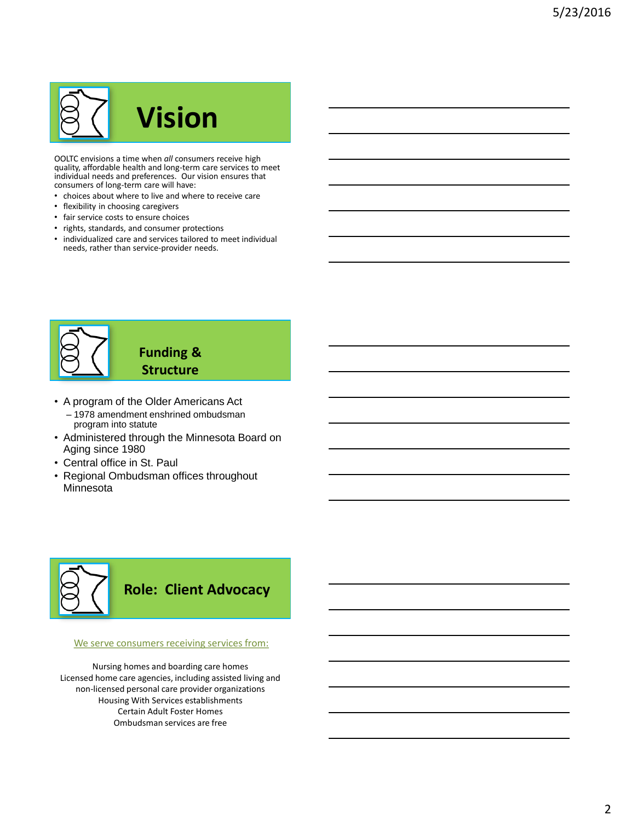# **Vision**

OOLTC envisions a time when *all* consumers receive high quality, affordable health and long-term care services to meet individual needs and preferences. Our vision ensures that consumers of long-term care will have:

- choices about where to live and where to receive care
- flexibility in choosing caregivers
- fair service costs to ensure choices
- rights, standards, and consumer protections
- individualized care and services tailored to meet individual needs, rather than service-provider needs.



# **Funding & Structure**

- A program of the Older Americans Act
	- 1978 amendment enshrined ombudsman program into statute
- Administered through the Minnesota Board on Aging since 1980
- Central office in St. Paul
- Regional Ombudsman offices throughout **Minnesota**



### We serve consumers receiving services from:

Nursing homes and boarding care homes Licensed home care agencies, including assisted living and non-licensed personal care provider organizations Housing With Services establishments Certain Adult Foster Homes Ombudsman services are free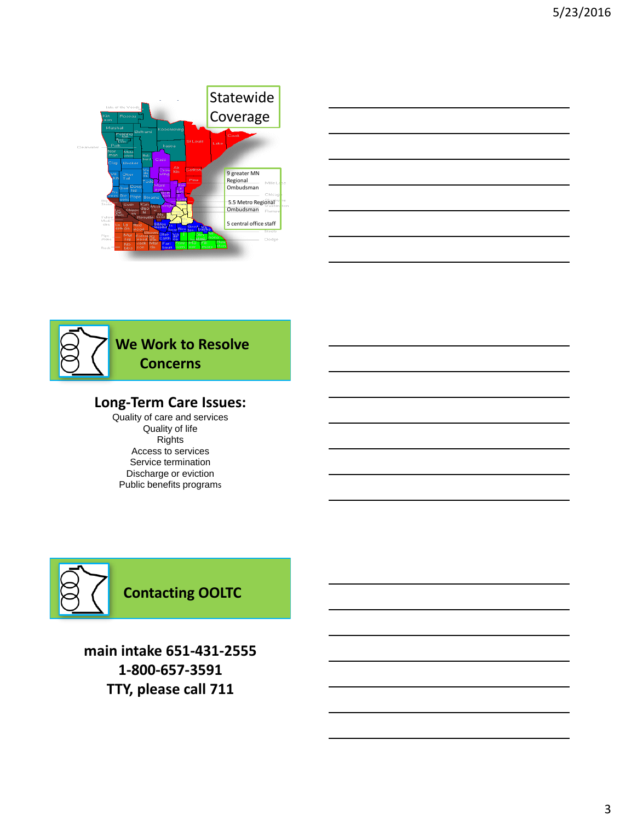



# **Long-Term Care Issues:**

Quality of care and services Quality of life Rights Access to services Service termination Discharge or eviction Public benefits programs



**main intake 651-431-2555 1-800-657-3591 TTY, please call 711**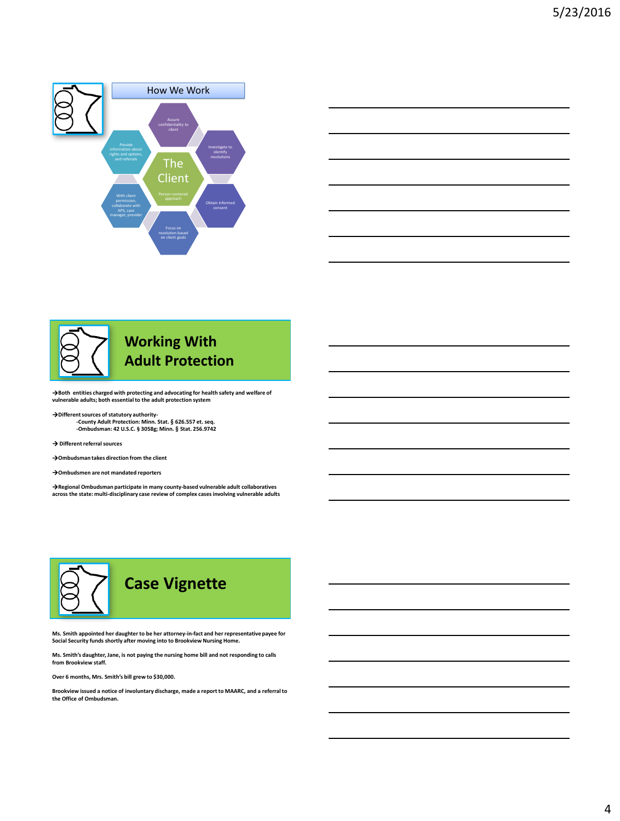





**Both entities charged with protecting and advocating for health safety and welfare of vulnerable adults; both essential to the adult protection system**

**Different sources of statutory authority- -County Adult Protection: Minn. Stat. § 626.557 et. seq. -Ombudsman: 42 U.S.C. § 3058g; Minn. § Stat. 256.9742** 

**Different referral sources**

**Ombudsman takes direction from the client**

**Ombudsmen are not mandated reporters**

**Regional Ombudsman participate in many county-based vulnerable adult collaboratives across the state: multi-disciplinary case review of complex cases involving vulnerable adults**



**Ms. Smith appointed her daughter to be her attorney-in-fact and her representative payee for Social Security funds shortly after moving into to Brookview Nursing Home.**

**Ms. Smith's daughter, Jane, is not paying the nursing home bill and not responding to calls from Brookview staff.**

**Over 6 months, Mrs. Smith's bill grew to \$30,000.** 

**Brookview issued a notice of involuntary discharge, made a report to MAARC, and a referral to the Office of Ombudsman.**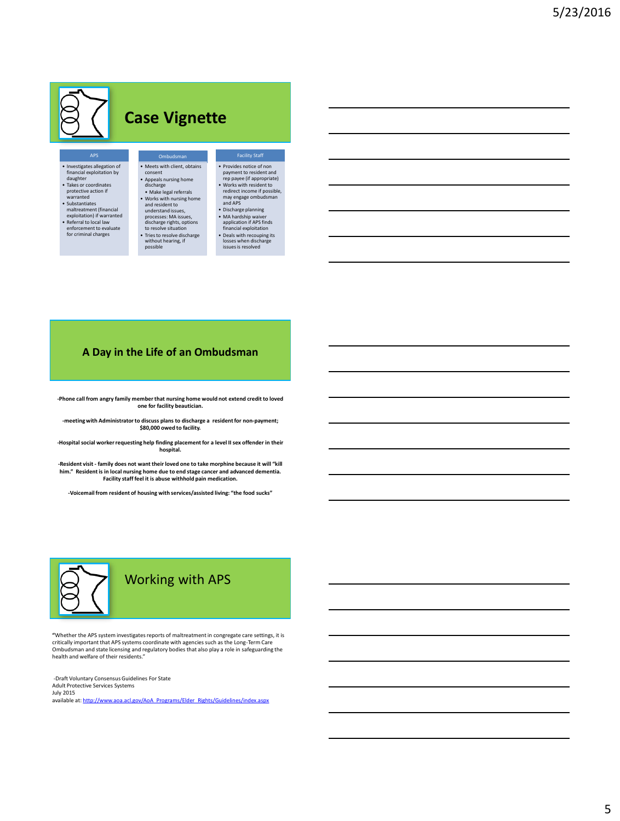# **Case Vignette**

Ombudsman • Meets with client, obtains consent • Appeals nursing home discharge • Make legal referrals • Works with nursing home and resident to

understand issues,<br>
processes: MA issues,<br>
discharge rights, options<br>
to resolve situation<br>
• Tries to resolve discharge<br>
without hearing, if

possible

• Investigates allegation of financial exploitation by daughter • Takes or coordinates protective action if warranted • Substantiates maltreatment (financial exploitation) if warranted • Referral to local law enforcement to evaluate for criminal charges

- Provides notice of non payment to resident and rep payee (if appropriate) Works with resident to redirect income if possible, may engage ombudsman and APS
- Discharge planning MA hardship waiver application if APS finds financial exploitation Deals with recouping its losses when discharge issues is resolved

### **A Day in the Life of an Ombudsman**

**-Phone call from angry family member that nursing home would not extend credit to loved one for facility beautician.**

**-meeting with Administrator to discuss plans to discharge a resident for non-payment; \$80,000 owed to facility.**

**-Hospital social worker requesting help finding placement for a level II sex offender in their hospital.**

**-Resident visit - family does not want their loved one to take morphine because it will "kill him." Resident is in local nursing home due to end stage cancer and advanced dementia. Facility staff feel it is abuse withhold pain medication.**

**-Voicemail from resident of housing with services/assisted living: "the food sucks"**



**"**Whether the APS system investigates reports of maltreatment in congregate care settings, it is critically important that APS systems coordinate with agencies such as the Long-Term Care Ombudsman and state licensing and regulatory bodies that also play a role in safeguarding the health and welfare of their residents."

-Draft Voluntary Consensus Guidelines For State Adult Protective Services Systems July 2015 available at: [http://www.aoa.acl.gov/AoA\\_Programs/Elder\\_Rights/Guidelines/index.aspx](http://www.aoa.acl.gov/AoA_Programs/Elder_Rights/Guidelines/index.aspx)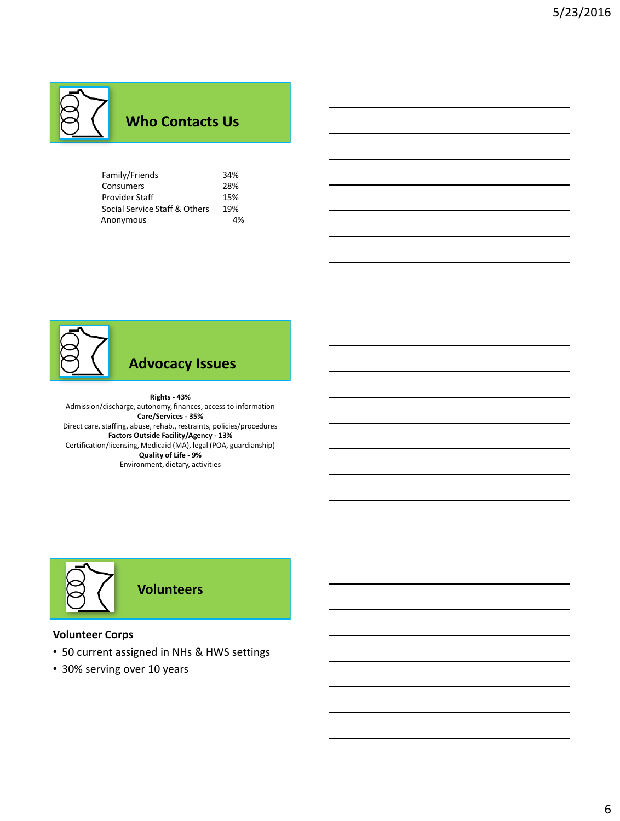# **Who Contacts Us**

| Family/Friends                | 34% |
|-------------------------------|-----|
| Consumers                     | 28% |
| Provider Staff                | 15% |
| Social Service Staff & Others | 19% |
| Anonymous                     | 4%  |



# **Advocacy Issues**

### **Rights - 43%**

Admission/discharge, autonomy, finances, access to information **Care/Services - 35%** Direct care, staffing, abuse, rehab., restraints, policies/procedures **Factors Outside Facility/Agency - 13%** Certification/licensing, Medicaid (MA), legal (POA, guardianship) **Quality of Life - 9%** Environment, dietary, activities



### **Volunteer Corps**

- 50 current assigned in NHs & HWS settings
- 30% serving over 10 years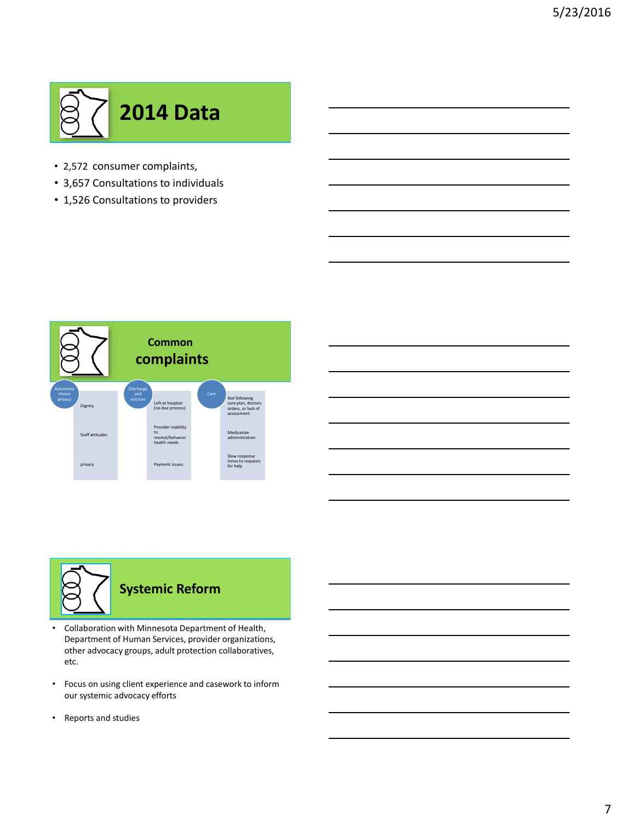

- 2,572 consumer complaints,
- 3,657 Consultations to individuals
- 1,526 Consultations to providers





- Collaboration with Minnesota Department of Health, Department of Human Services, provider organizations, other advocacy groups, adult protection collaboratives, etc.
- Focus on using client experience and casework to inform our systemic advocacy efforts
- Reports and studies